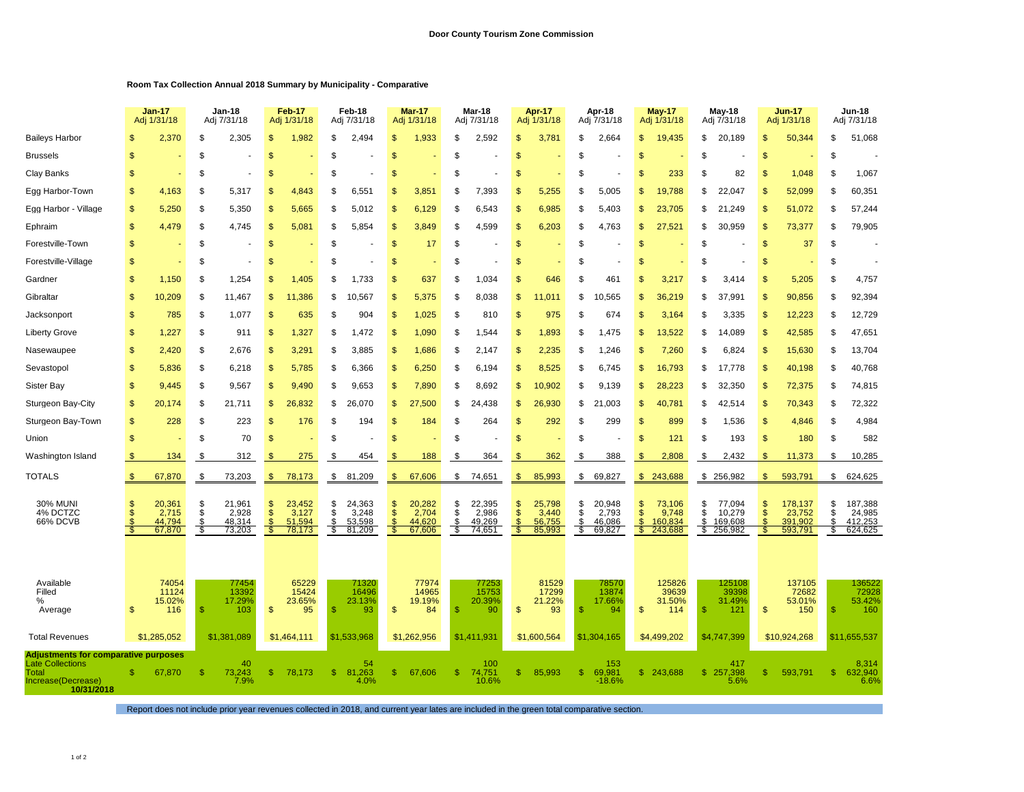## **Room Tax Collection Annual 2018 Summary by Municipality - Comparative**

|                                                                        |                | <b>Jan-17</b><br>Adj 1/31/18 |          | Jan-18<br>Adj 7/31/18 |           | <b>Feb-17</b><br>Adj 1/31/18 |               | Feb-18<br>Adj 7/31/18 |                     | Mar-17<br>Adj 1/31/18 |               | Mar-18<br>Adj 7/31/18 |                     | Apr-17<br>Adj 1/31/18 |           | Apr-18<br>Adj 7/31/18 |                    | <b>May-17</b><br>Adj 1/31/18 |               | May-18<br>Adj 7/31/18 |               | <b>Jun-17</b><br>Adj 1/31/18 |          | <b>Jun-18</b><br>Adj 7/31/18 |  |
|------------------------------------------------------------------------|----------------|------------------------------|----------|-----------------------|-----------|------------------------------|---------------|-----------------------|---------------------|-----------------------|---------------|-----------------------|---------------------|-----------------------|-----------|-----------------------|--------------------|------------------------------|---------------|-----------------------|---------------|------------------------------|----------|------------------------------|--|
| <b>Baileys Harbor</b>                                                  |                | 2,370                        | \$       | 2,305                 | \$.       | 1,982                        | \$            | 2,494                 |                     | 1,933                 | \$            | 2,592                 | \$                  | 3,781                 | \$        | 2,664                 | \$                 | 19,435                       | \$            | 20,189                | \$            | 50,344                       | \$       | 51,068                       |  |
| <b>Brussels</b>                                                        | S              |                              | S        |                       | S         |                              | £.            |                       | <b>S</b>            |                       | \$            |                       | S                   |                       | S         |                       | S                  |                              | \$            |                       | \$            |                              | \$       |                              |  |
| Clay Banks                                                             | \$             |                              | \$       |                       | \$.       |                              | \$            |                       | \$                  |                       | \$            |                       | \$                  |                       | S         |                       | S                  | 233                          | \$            | 82                    | \$            | 1,048                        | \$       | 1,067                        |  |
| Egg Harbor-Town                                                        | \$             | 4,163                        | \$       | 5,317                 | S         | 4,843                        | S             | 6,551                 | <b>S</b>            | 3,851                 | S             | 7,393                 | \$                  | 5,255                 | S         | 5,005                 | S                  | 19,788                       | S             | 22,047                | \$            | 52,099                       | \$       | 60,351                       |  |
| Egg Harbor - Village                                                   | \$             | 5,250                        | \$       | 5,350                 | \$        | 5,665                        | \$            | 5,012                 | \$                  | 6,129                 | \$            | 6,543                 | \$                  | 6,985                 | \$        | 5,403                 | \$                 | 23,705                       | \$            | 21,249                | \$            | 51,072                       | \$       | 57,244                       |  |
| Ephraim                                                                | $\mathfrak{s}$ | 4,479                        | \$       | 4,745                 | S         | 5,081                        | \$.           | 5,854                 | \$                  | 3,849                 | \$            | 4,599                 | S                   | 6,203                 | S         | 4,763                 | \$                 | 27,521                       | \$            | 30,959                | \$            | 73,377                       | \$       | 79,905                       |  |
| Forestville-Town                                                       | \$             |                              | \$       |                       | \$        |                              | \$            |                       | $\mathbf{s}$        | 17                    | \$            |                       | \$                  |                       | \$        |                       | \$                 |                              | \$            |                       | \$            | 37                           | \$       |                              |  |
| Forestville-Village                                                    | \$             |                              | \$       | ÷,                    | S         |                              | S             |                       | <sup>\$</sup>       |                       | \$            |                       | $\mathcal{S}$       |                       | S         |                       | S                  |                              | \$            |                       | \$            |                              | \$       |                              |  |
| Gardner                                                                | $\mathsf{\$}$  | 1,150                        | \$       | 1,254                 | \$.       | 1,405                        | \$            | 1,733                 | $\mathbf{s}$        | 637                   | \$            | 1,034                 | \$                  | 646                   | \$        | 461                   | \$                 | 3,217                        | \$            | 3,414                 | \$            | 5,205                        | \$       | 4,757                        |  |
| Gibraltar                                                              | \$             | 10,209                       | \$       | 11,467                | \$        | 11,386                       | \$            | 10,567                | \$                  | 5,375                 | \$            | 8,038                 | \$                  | .011                  | \$        | 10,565                | 9                  | 36,219                       | \$            | 37,991                | \$            | 90,856                       | \$       | 92,394                       |  |
| Jacksonport                                                            | \$             | 785                          | \$       | 1,077                 | \$        | 635                          | \$            | 904                   | $\mathbf{s}$        | 1,025                 | \$            | 810                   | \$                  | 975                   | \$        | 674                   | S                  | 3,164                        | \$            | 3,335                 | \$            | 12,223                       | \$       | 12,729                       |  |
| Liberty Grove                                                          | \$             | 1,227                        | \$       | 911                   | \$        | 1,327                        | \$            | 1,472                 | \$                  | 1,090                 | \$            | 1,544                 | \$                  | 1,893                 | \$        | 1,475                 | S                  | 13,522                       | \$            | 14,089                | \$            | 42,585                       | \$       | 47,651                       |  |
| Nasewaupee                                                             | \$             | 2,420                        | \$       | 2,676                 | \$        | 3,291                        | \$            | 3,885                 | \$                  | 1,686                 | \$            | 2,147                 | \$                  | 2,235                 | \$        | ,246                  | S                  | 7,260                        | \$            | 6,824                 | \$            | 15,630                       | \$       | 13,704                       |  |
| Sevastopol                                                             | $\mathsf{\$}$  | 5,836                        | \$       | 6,218                 | \$        | 5,785                        | \$            | 6,366                 | $\mathbf{s}$        | 6,250                 | \$            | 6,194                 | \$                  | 8,525                 | \$        | 6,745                 | \$                 | 16,793                       | \$            | 17,778                | \$            | 40,198                       | \$       | 40,768                       |  |
| Sister Bay                                                             | \$             | 9,445                        | \$       | 9,567                 | \$.       | 9,490                        | S             | 9,653                 | $\mathbb{S}$        | 7,890                 | \$            | 8,692                 | \$                  | 10,902                | \$        | 9,139                 | \$.                | 28,223                       | \$            | 32,350                | \$            | 72,375                       | \$       | 74,815                       |  |
| Sturgeon Bay-City                                                      | \$             | 20,174                       | \$       | 21,711                | \$        | 26,832                       | \$            | 26,070                | \$                  | 27,500                | \$            | 24,438                | \$                  | 26,930                | \$        | 21,003                | \$                 | 40,781                       | \$            | 42,514                | \$            | 70,343                       | \$       | 72,322                       |  |
| Sturgeon Bay-Town                                                      | $\mathbb{S}$   | 228                          | \$       | 223                   | S         | 176                          | S             | 194                   | <sup>\$</sup>       | 184                   | \$            | 264                   | \$                  | 292                   | S         | 299                   | S                  | 899                          | S             | 1,536                 | $\mathbb{S}$  | 4,846                        | \$       | 4,984                        |  |
| Union                                                                  | \$             |                              | \$       | 70                    | \$        |                              | \$            |                       | \$                  |                       | \$            |                       | \$                  |                       | \$        |                       | \$                 | 121                          | \$            | 193                   | $\mathsf{\$}$ | 180                          | \$       | 582                          |  |
| Washington Island                                                      |                | 134                          | \$       | 312                   | -S        | 275                          | \$            | 454                   |                     | 188                   | \$            | 364                   | S                   | 362                   | S         | 388                   | S                  | 2,808                        | \$            | 2,432                 | \$            | 11,373                       | S        | 10,285                       |  |
| TOTALS                                                                 | \$             | 67,870                       | \$       | 73,203                | \$        | 78,173                       | \$            | 81,209                | $\mathbf{\$}$       | 67,606                | \$            | 74,651                | \$                  | 85,993                | \$        | 69,827                | \$                 | 243,688                      |               | \$256,982             | \$            | 593,791                      | \$       | 624,625                      |  |
| 30% MUNI<br>4% DCTZC                                                   | \$             | 20,361<br>2,715              | \$<br>S  | 21,961<br>2,928       | \$.<br>£. | 23,452<br>3,127              | \$<br>S       | 24,363<br>3,248       | \$<br><sup>\$</sup> | 20,282<br>2,704       | \$<br>\$      | 22,395<br>2,986       | \$<br>$\mathcal{S}$ | 25,798<br>3,440       | \$<br>\$  | 20,948<br>2,793       | \$<br>S            | 73,106<br>9,748              | \$<br>S       | 77,094<br>10,279      | \$<br>\$      | 178,137<br>23,752            | \$<br>\$ | 187,388<br>24,985            |  |
| 66% DCVB                                                               | Š              | 44,794<br>67,870             | \$<br>\$ | 48,314<br>73,203      | S         | 51,594<br>78,173             | $\frac{1}{3}$ | 53,598<br>81,209      | <sup>\$</sup><br>\$ | 44.620<br>67,606      | \$<br>S       | 49,269<br>74,651      | $\mathbb{S}$<br>\$  | 56,755<br>85,993      | $$\$<br>S | 46,086<br>69,827      | $\mathbb{S}$<br>S. | 160.834<br>243,688           | \$            | 169,608<br>\$256,982  | $\mathcal{S}$ | 391.902<br>593,791           | \$<br>S. | 412,253<br>624,625           |  |
|                                                                        |                |                              |          |                       |           |                              |               |                       |                     |                       |               |                       |                     |                       |           |                       |                    |                              |               |                       |               |                              |          |                              |  |
| Available<br>Filled                                                    |                | 74054<br>11124               |          | 77454<br>13392        |           | 65229<br>15424               |               | 71320<br>16496        |                     | 77974<br>14965        |               | 77253<br>15753        |                     | 81529<br>17299        |           | 78570<br>13874        |                    | 125826<br>39639              |               | 125108<br>39398       |               | 137105<br>72682              |          | 136522<br>72928              |  |
| %<br>Average                                                           | $\mathfrak{s}$ | 15.02%<br>116                | \$       | 17.29%<br>103         | \$        | 23.65%<br>95                 | -S            | 23.13%<br>93          | $\mathbf{s}$        | 19.19%<br>84          | <sup>\$</sup> | 20.39%<br>90          | \$                  | 21.22%<br>93          | S         | 17.66%<br>94          | \$                 | 31.50%<br>114                | $\mathbf{\$}$ | 31.49%<br>121         | \$            | 53.01%<br>150                | \$       | 53.42%<br>160                |  |
|                                                                        |                |                              |          |                       |           |                              |               |                       |                     |                       |               |                       |                     |                       |           |                       |                    |                              |               |                       |               |                              |          |                              |  |
| <b>Total Revenues</b>                                                  |                | \$1,285,052                  |          | \$1,381,089           |           | \$1,464,111                  |               | \$1,533,968           |                     | \$1,262,956           |               | \$1,411,931           |                     | \$1,600,564           |           | \$1,304,165           |                    | \$4,499,202                  |               | \$4,747,399           |               | \$10,924,268                 |          | \$11.655.537                 |  |
| <b>Adjustments for comparative purposes</b><br><b>Late Collections</b> |                |                              |          | 40                    |           |                              |               | 54                    |                     |                       |               | 100                   |                     |                       |           | 153                   |                    |                              |               | 417                   |               |                              |          | 8,314                        |  |
| <b>Total</b><br>Increase(Decrease)<br>10/31/2018                       | \$.            | 67,870                       | \$.      | 73,243<br>7.9%        | -S        | 78,173                       | s.            | 81,263<br>4.0%        | \$                  | 67,606                | \$.           | 74,751<br>10.6%       | \$                  | 85,993                | \$        | 69,981<br>$-18.6%$    |                    | \$243,688                    |               | \$257,398<br>5.6%     | \$            | 593,791                      | \$       | 632,940<br>6.6%              |  |

Report does not include prior year revenues collected in 2018, and current year lates are included in the green total comparative section.